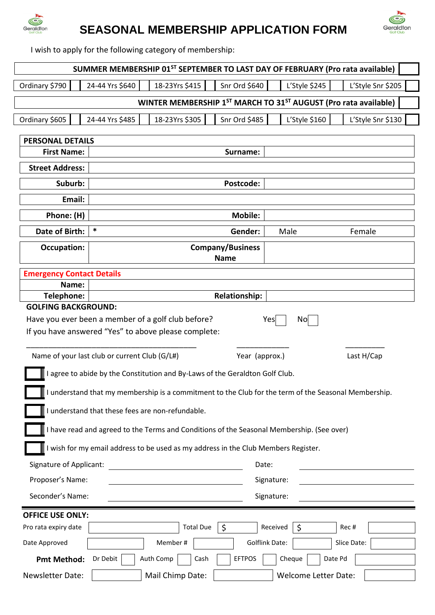

## **SEASONAL MEMBERSHIP APPLICATION FORM**



I wish to apply for the following category of membership:

| SUMMER MEMBERSHIP 01 <sup>ST</sup> SEPTEMBER TO LAST DAY OF FEBRUARY (Pro rata available)                                      |                                                                                            |                   |  |
|--------------------------------------------------------------------------------------------------------------------------------|--------------------------------------------------------------------------------------------|-------------------|--|
| Ordinary \$790                                                                                                                 | Snr Ord \$640<br>24-44 Yrs \$640<br>18-23Yrs \$415<br>L'Style \$245                        | L'Style Snr \$205 |  |
| WINTER MEMBERSHIP 1ST MARCH TO 31ST AUGUST (Pro rata available)                                                                |                                                                                            |                   |  |
| Ordinary \$605                                                                                                                 | Snr Ord \$485<br>L'Style \$160<br>24-44 Yrs \$485<br>18-23Yrs \$305                        | L'Style Snr \$130 |  |
| <b>PERSONAL DETAILS</b>                                                                                                        |                                                                                            |                   |  |
| <b>First Name:</b>                                                                                                             | Surname:                                                                                   |                   |  |
| <b>Street Address:</b>                                                                                                         |                                                                                            |                   |  |
| Suburb:                                                                                                                        | Postcode:                                                                                  |                   |  |
| Email:                                                                                                                         |                                                                                            |                   |  |
| Phone: (H)                                                                                                                     | <b>Mobile:</b>                                                                             |                   |  |
| Date of Birth:                                                                                                                 | *<br>Gender:<br>Male                                                                       | Female            |  |
| <b>Occupation:</b>                                                                                                             | <b>Company/Business</b><br><b>Name</b>                                                     |                   |  |
| <b>Emergency Contact Details</b>                                                                                               |                                                                                            |                   |  |
| Name:                                                                                                                          |                                                                                            |                   |  |
| Telephone:                                                                                                                     | <b>Relationship:</b>                                                                       |                   |  |
| Have you ever been a member of a golf club before?<br><b>No</b><br>Yes<br>If you have answered "Yes" to above please complete: |                                                                                            |                   |  |
| Name of your last club or current Club (G/L#)<br>Year (approx.)<br>Last H/Cap                                                  |                                                                                            |                   |  |
| agree to abide by the Constitution and By-Laws of the Geraldton Golf Club.                                                     |                                                                                            |                   |  |
| I understand that my membership is a commitment to the Club for the term of the Seasonal Membership.                           |                                                                                            |                   |  |
| understand that these fees are non-refundable.                                                                                 |                                                                                            |                   |  |
| I have read and agreed to the Terms and Conditions of the Seasonal Membership. (See over)                                      |                                                                                            |                   |  |
| I wish for my email address to be used as my address in the Club Members Register.                                             |                                                                                            |                   |  |
|                                                                                                                                | Signature of Applicant:<br>Date:<br><u> 1980 - Jan Stein Bernstein, fransk kanton og f</u> |                   |  |
| Proposer's Name:                                                                                                               | Signature:                                                                                 |                   |  |
|                                                                                                                                | Seconder's Name:<br>Signature:                                                             |                   |  |
| <b>OFFICE USE ONLY:</b>                                                                                                        |                                                                                            |                   |  |
| Pro rata expiry date                                                                                                           | <b>Total Due</b><br>$\zeta$<br>Received<br>$\zeta$<br>Rec#                                 |                   |  |
| Date Approved                                                                                                                  | <b>Golflink Date:</b><br>Slice Date:<br>Member#                                            |                   |  |
| Auth Comp<br><b>EFTPOS</b><br>Dr Debit<br>Cheque<br>Date Pd<br><b>Pmt Method:</b><br>Cash                                      |                                                                                            |                   |  |
| Newsletter Date:                                                                                                               | Mail Chimp Date:<br>Welcome Letter Date:                                                   |                   |  |